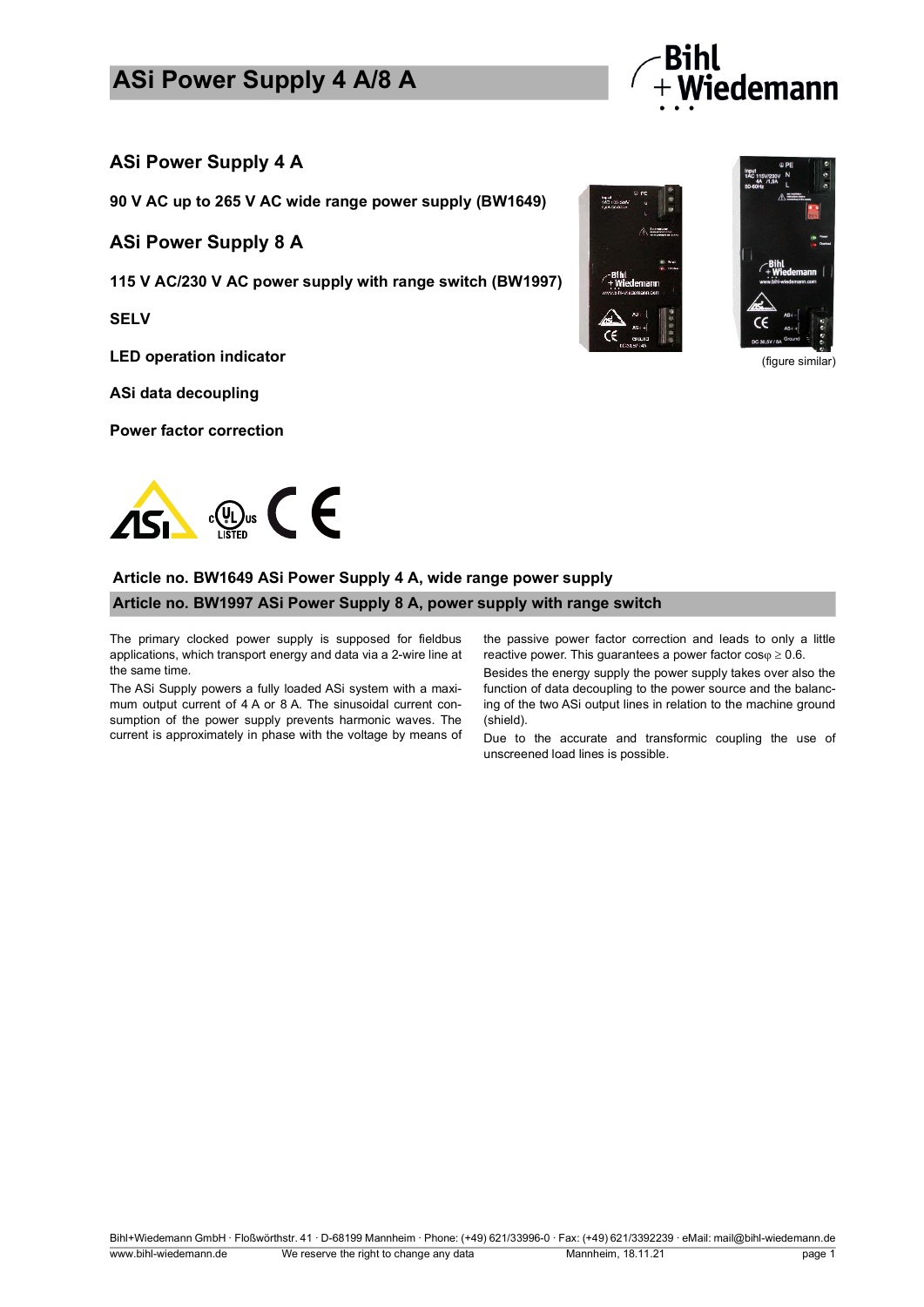## **ASi Power Supply 4 A/8 A**



### **ASi Power Supply 4 A**

**90 V AC up to 265 V AC wide range power supply (BW1649)**

#### **ASi Power Supply 8 A**

**115 V AC/230 V AC power supply with range switch (BW1997)**

**SELV**

**LED operation indicator**

**ASi data decoupling**

**Power factor correction**





(figure similar)

## **Article no. BW1649 ASi Power Supply 4 A, wide range power supply Article no. BW1997 ASi Power Supply 8 A, power supply with range switch**

The primary clocked power supply is supposed for fieldbus applications, which transport energy and data via a 2-wire line at the same time.

The ASi Supply powers a fully loaded ASi system with a maximum output current of 4 A or 8 A. The sinusoidal current consumption of the power supply prevents harmonic waves. The current is approximately in phase with the voltage by means of the passive power factor correction and leads to only a little reactive power. This guarantees a power factor  $cos\varphi \ge 0.6$ .

Besides the energy supply the power supply takes over also the function of data decoupling to the power source and the balancing of the two ASi output lines in relation to the machine ground (shield).

Due to the accurate and transformic coupling the use of unscreened load lines is possible.